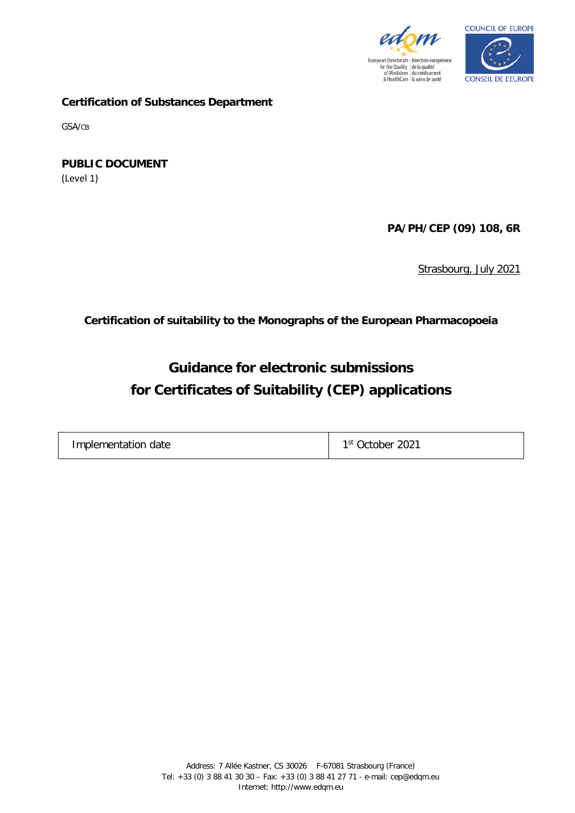



**Certification of Substances Department**

GSA/CB

**PUBLIC DOCUMENT** (Level 1)

**PA/PH/CEP (09) 108, 6R**

Strasbourg, July 2021

**Certification of suitability to the Monographs of the European Pharmacopoeia**

# **Guidance for electronic submissions for Certificates of Suitability (CEP) applications**

| Implementation date | 2021<br>1 St<br>Jctober |
|---------------------|-------------------------|
|---------------------|-------------------------|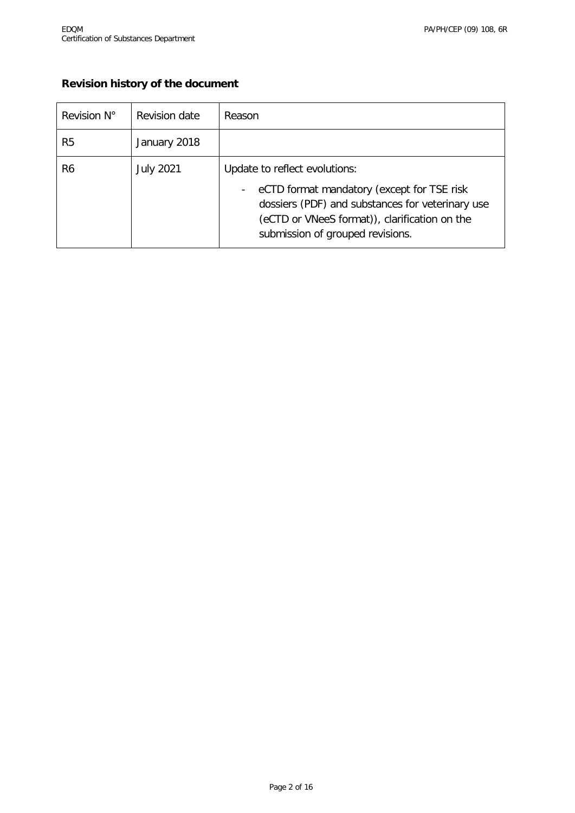#### **Revision history of the document**

| Revision N°    | Revision date    | Reason                                                                                                                                                                                                                                           |
|----------------|------------------|--------------------------------------------------------------------------------------------------------------------------------------------------------------------------------------------------------------------------------------------------|
| R <sub>5</sub> | January 2018     |                                                                                                                                                                                                                                                  |
| R6             | <b>July 2021</b> | Update to reflect evolutions:<br>eCTD format mandatory (except for TSE risk<br>$\overline{\phantom{a}}$<br>dossiers (PDF) and substances for veterinary use<br>(eCTD or VNeeS format)), clarification on the<br>submission of grouped revisions. |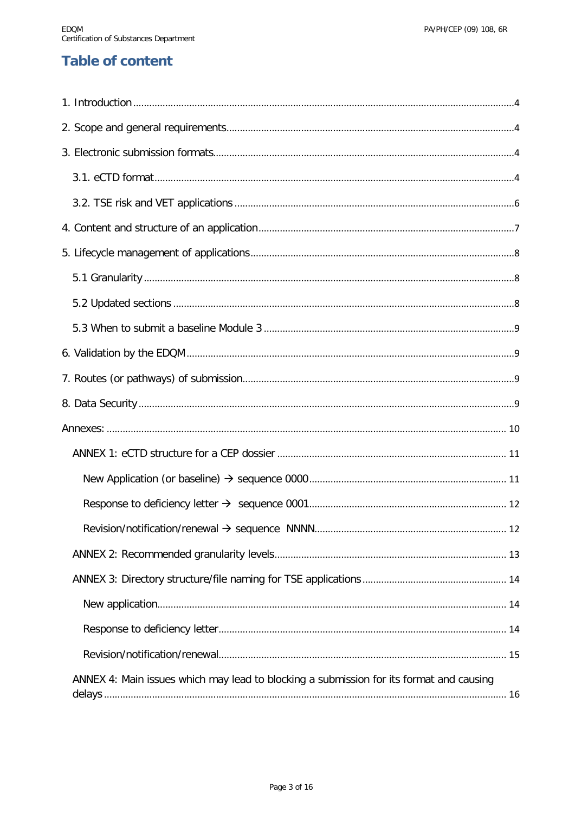# **Table of content**

| ANNEX 4: Main issues which may lead to blocking a submission for its format and causing |  |
|-----------------------------------------------------------------------------------------|--|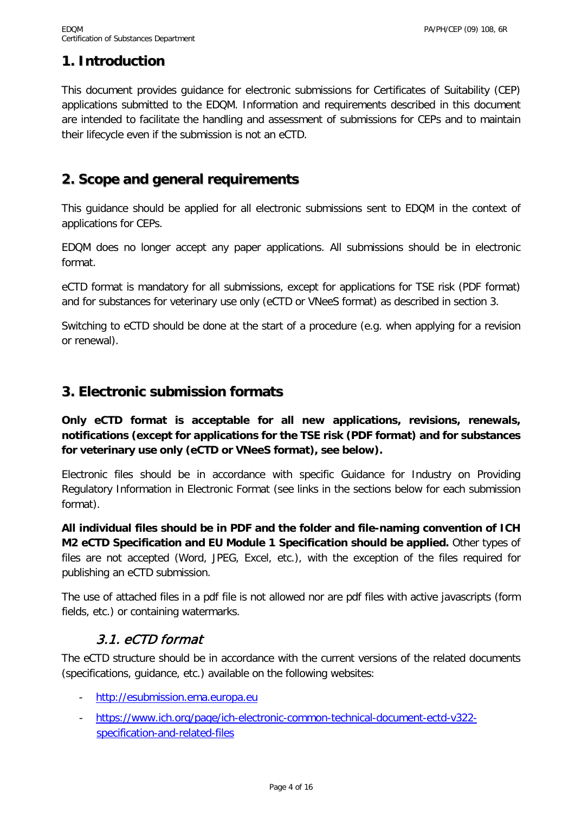## <span id="page-3-0"></span>**1. Introduction**

This document provides guidance for electronic submissions for Certificates of Suitability (CEP) applications submitted to the EDQM. Information and requirements described in this document are intended to facilitate the handling and assessment of submissions for CEPs and to maintain their lifecycle even if the submission is not an eCTD.

### <span id="page-3-1"></span>**2. Scope and general requirements**

This guidance should be applied for all electronic submissions sent to EDQM in the context of applications for CEPs.

EDQM does no longer accept any paper applications. All submissions should be in electronic format.

eCTD format is mandatory for all submissions, except for applications for TSE risk (PDF format) and for substances for veterinary use only (eCTD or VNeeS format) as described in section 3.

Switching to eCTD should be done at the start of a procedure (e.g. when applying for a revision or renewal).

### <span id="page-3-2"></span>**3. Electronic submission formats**

**Only eCTD format is acceptable for all new applications, revisions, renewals, notifications (except for applications for the TSE risk (PDF format) and for substances for veterinary use only (eCTD or VNeeS format), see below).** 

Electronic files should be in accordance with specific Guidance for Industry on Providing Regulatory Information in Electronic Format (see links in the sections below for each submission format).

**All individual files should be in PDF and the folder and file-naming convention of ICH M2 eCTD Specification and EU Module 1 Specification should be applied.** Other types of files are not accepted (Word, JPEG, Excel, etc.), with the exception of the files required for publishing an eCTD submission.

The use of attached files in a pdf file is not allowed nor are pdf files with active javascripts (form fields, etc.) or containing watermarks.

### 3.1. eCTD format

<span id="page-3-3"></span>The eCTD structure should be in accordance with the current versions of the related documents (specifications, guidance, etc.) available on the following websites:

- [http://esubmission.ema.europa.eu](http://esubmission.ema.europa.eu/)
- [https://www.ich.org/page/ich-electronic-common-technical-document-ectd-v322](https://www.ich.org/page/ich-electronic-common-technical-document-ectd-v322-specification-and-related-files) [specification-and-related-files](https://www.ich.org/page/ich-electronic-common-technical-document-ectd-v322-specification-and-related-files)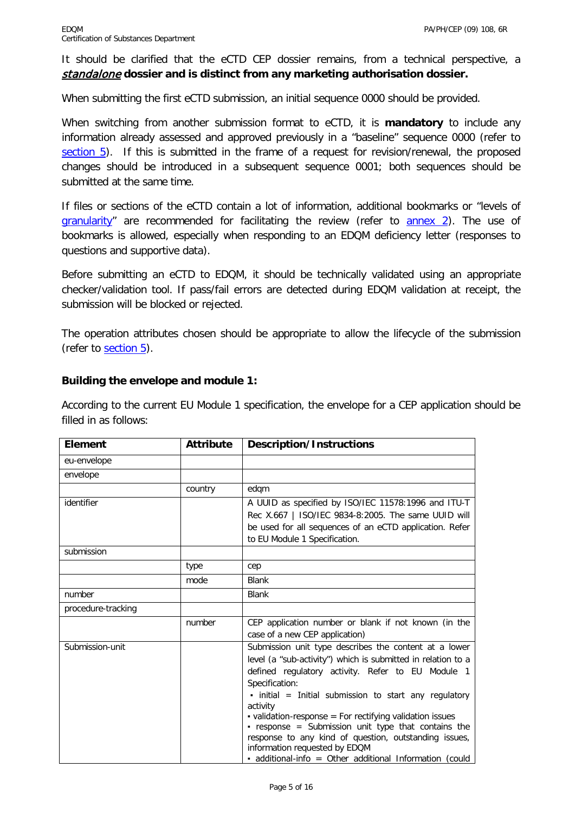It should be clarified that the eCTD CEP dossier remains, from a technical perspective, a standalone **dossier and is distinct from any marketing authorisation dossier.**

When submitting the first eCTD submission, an initial sequence 0000 should be provided.

When switching from another submission format to eCTD, it is **mandatory** to include any information already assessed and approved previously in a "baseline" sequence 0000 (refer to [section 5\)](#page-6-1). If this is submitted in the frame of a request for revision/renewal, the proposed changes should be introduced in a subsequent sequence 0001; both sequences should be submitted at the same time.

If files or sections of the eCTD contain a lot of information, additional bookmarks or "levels of [granularity"](#page-7-1) are recommended for facilitating the review (refer to [annex 2\)](#page-12-0). The use of bookmarks is allowed, especially when responding to an EDQM deficiency letter (responses to questions and supportive data).

Before submitting an eCTD to EDQM, it should be technically validated using an appropriate checker/validation tool. If pass/fail errors are detected during EDQM validation at receipt, the submission will be blocked or rejected.

The operation attributes chosen should be appropriate to allow the lifecycle of the submission (refer to [section 5\)](#page-6-1).

#### **Building the envelope and module 1:**

According to the current EU Module 1 specification, the envelope for a CEP application should be filled in as follows:

| <b>Element</b>     | <b>Attribute</b> | <b>Description/Instructions</b>                                                                                                                                                                                                                                                                                                                                                                                                                                                                                                                    |
|--------------------|------------------|----------------------------------------------------------------------------------------------------------------------------------------------------------------------------------------------------------------------------------------------------------------------------------------------------------------------------------------------------------------------------------------------------------------------------------------------------------------------------------------------------------------------------------------------------|
| eu-envelope        |                  |                                                                                                                                                                                                                                                                                                                                                                                                                                                                                                                                                    |
| envelope           |                  |                                                                                                                                                                                                                                                                                                                                                                                                                                                                                                                                                    |
|                    | country          | edgm                                                                                                                                                                                                                                                                                                                                                                                                                                                                                                                                               |
| identifier         |                  | A UUID as specified by ISO/IEC 11578:1996 and ITU-T<br>Rec X.667   ISO/IEC 9834-8:2005. The same UUID will<br>be used for all sequences of an eCTD application. Refer<br>to EU Module 1 Specification.                                                                                                                                                                                                                                                                                                                                             |
| submission         |                  |                                                                                                                                                                                                                                                                                                                                                                                                                                                                                                                                                    |
|                    | type             | cep                                                                                                                                                                                                                                                                                                                                                                                                                                                                                                                                                |
|                    | mode             | <b>Blank</b>                                                                                                                                                                                                                                                                                                                                                                                                                                                                                                                                       |
| number             |                  | <b>Blank</b>                                                                                                                                                                                                                                                                                                                                                                                                                                                                                                                                       |
| procedure-tracking |                  |                                                                                                                                                                                                                                                                                                                                                                                                                                                                                                                                                    |
|                    | number           | CEP application number or blank if not known (in the<br>case of a new CEP application)                                                                                                                                                                                                                                                                                                                                                                                                                                                             |
| Submission-unit    |                  | Submission unit type describes the content at a lower<br>level (a "sub-activity") which is submitted in relation to a<br>defined regulatory activity. Refer to EU Module 1<br>Specification:<br>$\bullet$ initial = Initial submission to start any regulatory<br>activity<br>• validation-response = For rectifying validation issues<br>- response = Submission unit type that contains the<br>response to any kind of question, outstanding issues,<br>information requested by EDQM<br>- additional-info = Other additional Information (could |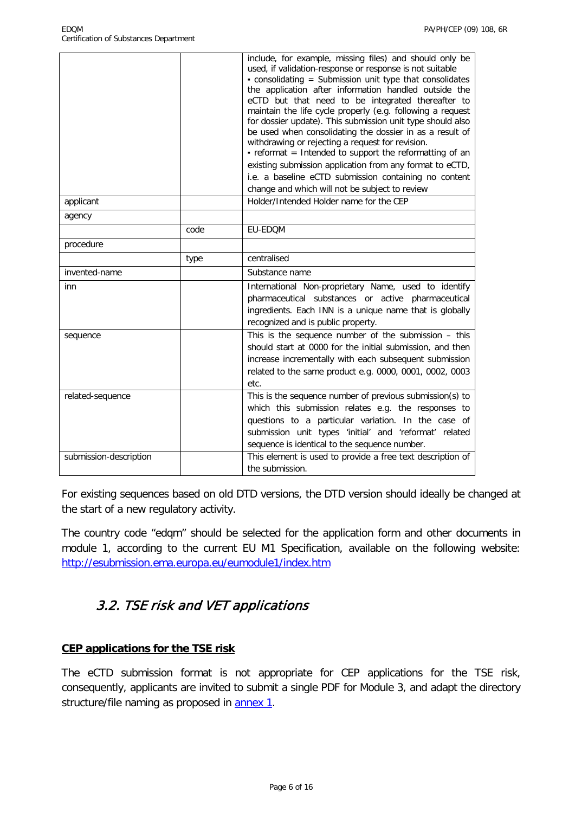|                        |      | include, for example, missing files) and should only be<br>used, if validation-response or response is not suitable<br>$\bullet$ consolidating = Submission unit type that consolidates<br>the application after information handled outside the<br>eCTD but that need to be integrated thereafter to<br>maintain the life cycle properly (e.g. following a request<br>for dossier update). This submission unit type should also<br>be used when consolidating the dossier in as a result of<br>withdrawing or rejecting a request for revision.<br>· reformat = Intended to support the reformatting of an<br>existing submission application from any format to eCTD,<br>i.e. a baseline eCTD submission containing no content<br>change and which will not be subject to review |
|------------------------|------|-------------------------------------------------------------------------------------------------------------------------------------------------------------------------------------------------------------------------------------------------------------------------------------------------------------------------------------------------------------------------------------------------------------------------------------------------------------------------------------------------------------------------------------------------------------------------------------------------------------------------------------------------------------------------------------------------------------------------------------------------------------------------------------|
| applicant              |      | Holder/Intended Holder name for the CEP                                                                                                                                                                                                                                                                                                                                                                                                                                                                                                                                                                                                                                                                                                                                             |
| agency                 |      |                                                                                                                                                                                                                                                                                                                                                                                                                                                                                                                                                                                                                                                                                                                                                                                     |
|                        | code | EU-EDQM                                                                                                                                                                                                                                                                                                                                                                                                                                                                                                                                                                                                                                                                                                                                                                             |
| procedure              |      |                                                                                                                                                                                                                                                                                                                                                                                                                                                                                                                                                                                                                                                                                                                                                                                     |
|                        | type | centralised                                                                                                                                                                                                                                                                                                                                                                                                                                                                                                                                                                                                                                                                                                                                                                         |
| invented-name          |      | Substance name                                                                                                                                                                                                                                                                                                                                                                                                                                                                                                                                                                                                                                                                                                                                                                      |
| inn                    |      | International Non-proprietary Name, used to identify<br>pharmaceutical substances or active pharmaceutical<br>ingredients. Each INN is a unique name that is globally<br>recognized and is public property.                                                                                                                                                                                                                                                                                                                                                                                                                                                                                                                                                                         |
| sequence               |      | This is the sequence number of the submission - this<br>should start at 0000 for the initial submission, and then<br>increase incrementally with each subsequent submission<br>related to the same product e.g. 0000, 0001, 0002, 0003<br>etc.                                                                                                                                                                                                                                                                                                                                                                                                                                                                                                                                      |
| related-sequence       |      | This is the sequence number of previous submission(s) to<br>which this submission relates e.g. the responses to<br>questions to a particular variation. In the case of<br>submission unit types 'initial' and 'reformat' related<br>sequence is identical to the sequence number.                                                                                                                                                                                                                                                                                                                                                                                                                                                                                                   |
| submission-description |      | This element is used to provide a free text description of<br>the submission.                                                                                                                                                                                                                                                                                                                                                                                                                                                                                                                                                                                                                                                                                                       |

For existing sequences based on old DTD versions, the DTD version should ideally be changed at the start of a new regulatory activity.

The country code "edqm" should be selected for the application form and other documents in module 1, according to the current EU M1 Specification, available on the following website: <http://esubmission.ema.europa.eu/eumodule1/index.htm>

### <span id="page-5-0"></span>3.2. TSE risk and VET applications

#### **CEP applications for the TSE risk**

The eCTD submission format is not appropriate for CEP applications for the TSE risk, consequently, applicants are invited to submit a single PDF for Module 3, and adapt the directory structure/file naming as proposed in **annex 1**.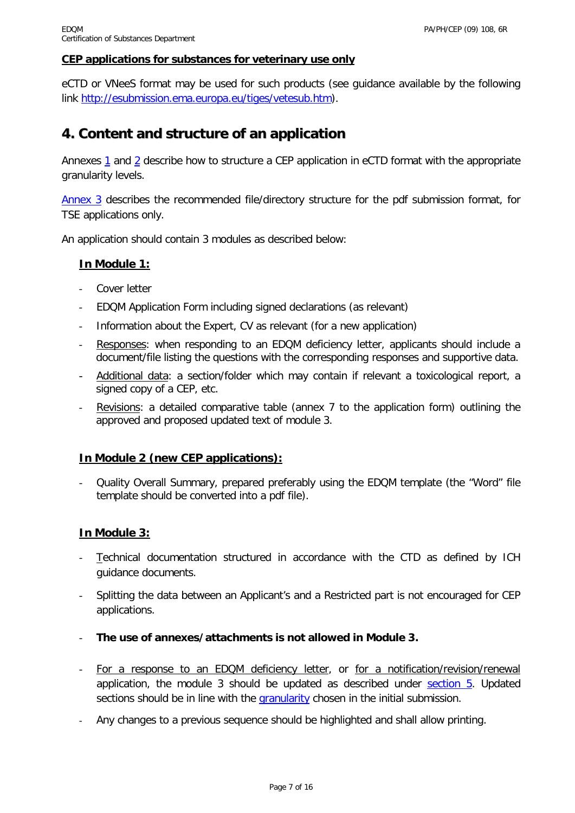#### **CEP applications for substances for veterinary use only**

eCTD or VNeeS format may be used for such products (see guidance available by the following link [http://esubmission.ema.europa.eu/tiges/vetesub.htm\)](http://esubmission.ema.europa.eu/tiges/vetesub.htm).

### <span id="page-6-0"></span>**4. Content and structure of an application**

Annexes [1](#page-10-0) and [2](#page-11-2) describe how to structure a CEP application in eCTD format with the appropriate granularity levels.

[Annex 3](#page-12-1) describes the recommended file/directory structure for the pdf submission format, for TSE applications only.

An application should contain 3 modules as described below:

#### **In Module 1:**

- Cover letter
- EDQM Application Form including signed declarations (as relevant)
- Information about the Expert, CV as relevant (for a new application)
- Responses: when responding to an EDQM deficiency letter, applicants should include a document/file listing the questions with the corresponding responses and supportive data.
- Additional data: a section/folder which may contain if relevant a toxicological report, a signed copy of a CEP, etc.
- Revisions: a detailed comparative table (annex 7 to the application form) outlining the approved and proposed updated text of module 3.

#### **In Module 2 (new CEP applications):**

- Quality Overall Summary, prepared preferably using the EDQM template (the "Word" file template should be converted into a pdf file).

#### **In Module 3:**

- Technical documentation structured in accordance with the CTD as defined by ICH guidance documents.
- Splitting the data between an Applicant's and a Restricted part is not encouraged for CEP applications.
- **The use of annexes/attachments is not allowed in Module 3.**
- For a response to an EDQM deficiency letter, or for a notification/revision/renewal application, the module 3 should be updated as described under [section 5.](#page-6-1) Updated sections should be in line with the [granularity](#page-7-1) chosen in the initial submission.
- <span id="page-6-1"></span>- Any changes to a previous sequence should be highlighted and shall allow printing.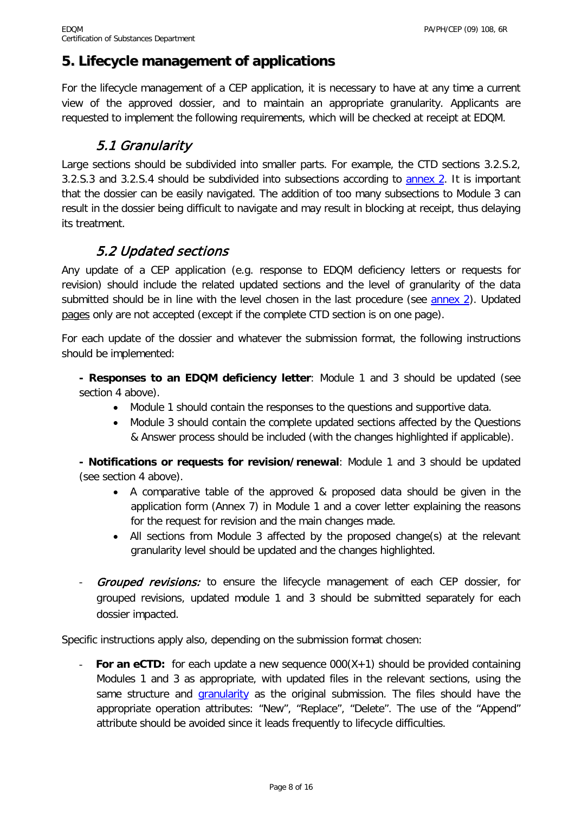## <span id="page-7-0"></span>**5. Lifecycle management of applications**

For the lifecycle management of a CEP application, it is necessary to have at any time a current view of the approved dossier, and to maintain an appropriate granularity. Applicants are requested to implement the following requirements, which will be checked at receipt at EDQM.

### 5.1 Granularity

<span id="page-7-1"></span>Large sections should be subdivided into smaller parts. For example, the CTD sections 3.2.S.2, 3.2.S.3 and 3.2.S.4 should be subdivided into subsections according to [annex 2.](#page-12-0) It is important that the dossier can be easily navigated. The addition of too many subsections to Module 3 can result in the dossier being difficult to navigate and may result in blocking at receipt, thus delaying its treatment.

## 5.2 Updated sections

<span id="page-7-2"></span>Any update of a CEP application (e.g. response to EDQM deficiency letters or requests for revision) should include the related updated sections and the level of granularity of the data submitted should be in line with the level chosen in the last procedure (see [annex 2\)](#page-12-0). Updated pages only are not accepted (except if the complete CTD section is on one page).

For each update of the dossier and whatever the submission format, the following instructions should be implemented:

**- Responses to an EDQM deficiency letter**: Module 1 and 3 should be updated (see section 4 above).

- Module 1 should contain the responses to the questions and supportive data.
- Module 3 should contain the complete updated sections affected by the Questions & Answer process should be included (with the changes highlighted if applicable).

**- Notifications or requests for revision/renewal**: Module 1 and 3 should be updated (see section 4 above).

- A comparative table of the approved & proposed data should be given in the application form (Annex 7) in Module 1 and a cover letter explaining the reasons for the request for revision and the main changes made.
- All sections from Module 3 affected by the proposed change(s) at the relevant granularity level should be updated and the changes highlighted.
- **Grouped revisions:** to ensure the lifecycle management of each CEP dossier, for grouped revisions, updated module 1 and 3 should be submitted separately for each dossier impacted.

Specific instructions apply also, depending on the submission format chosen:

**For an eCTD:** for each update a new sequence  $000(X+1)$  should be provided containing Modules 1 and 3 as appropriate, with updated files in the relevant sections, using the same structure and *[granularity](#page-7-1)* as the original submission. The files should have the appropriate operation attributes: "New", "Replace", "Delete". The use of the "Append" attribute should be avoided since it leads frequently to lifecycle difficulties.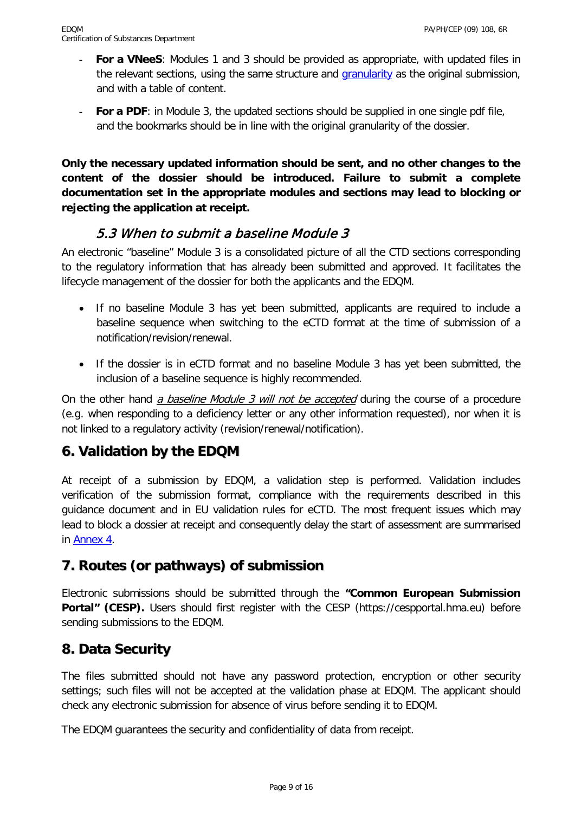- **For a VNeeS:** Modules 1 and 3 should be provided as appropriate, with updated files in the relevant sections, using the same structure and *granularity* as the original submission, and with a table of content.
- **For a PDF**: in Module 3, the updated sections should be supplied in one single pdf file, and the bookmarks should be in line with the original [granularity](#page-7-1) of the dossier.

**Only the necessary updated information should be sent, and no other changes to the content of the dossier should be introduced. Failure to submit a complete documentation set in the appropriate modules and sections may lead to blocking or rejecting the application at receipt.**

### 5.3 When to submit a baseline Module 3

<span id="page-8-0"></span>An electronic "baseline" Module 3 is a consolidated picture of all the CTD sections corresponding to the regulatory information that has already been submitted and approved. It facilitates the lifecycle management of the dossier for both the applicants and the EDQM.

- If no baseline Module 3 has yet been submitted, applicants are required to include a baseline sequence when switching to the eCTD format at the time of submission of a notification/revision/renewal.
- If the dossier is in eCTD format and no baseline Module 3 has yet been submitted, the inclusion of a baseline sequence is highly recommended.

On the other hand *a baseline Module 3 will not be accepted* during the course of a procedure (e.g. when responding to a deficiency letter or any other information requested), nor when it is not linked to a regulatory activity (revision/renewal/notification).

### <span id="page-8-1"></span>**6. Validation by the EDQM**

At receipt of a submission by EDQM, a validation step is performed. Validation includes verification of the submission format, compliance with the requirements described in this guidance document and in EU validation rules for eCTD. The most frequent issues which may lead to block a dossier at receipt and consequently delay the start of assessment are summarised in [Annex 4.](#page-15-1)

## <span id="page-8-2"></span>**7. Routes (or pathways) of submission**

Electronic submissions should be submitted through the **"Common European Submission**  Portal" (CESP). Users should first register with the CESP (https://cespportal.hma.eu) before sending submissions to the EDQM.

### <span id="page-8-3"></span>**8. Data Security**

The files submitted should not have any password protection, encryption or other security settings; such files will not be accepted at the validation phase at EDQM. The applicant should check any electronic submission for absence of virus before sending it to EDQM.

The EDQM guarantees the security and confidentiality of data from receipt.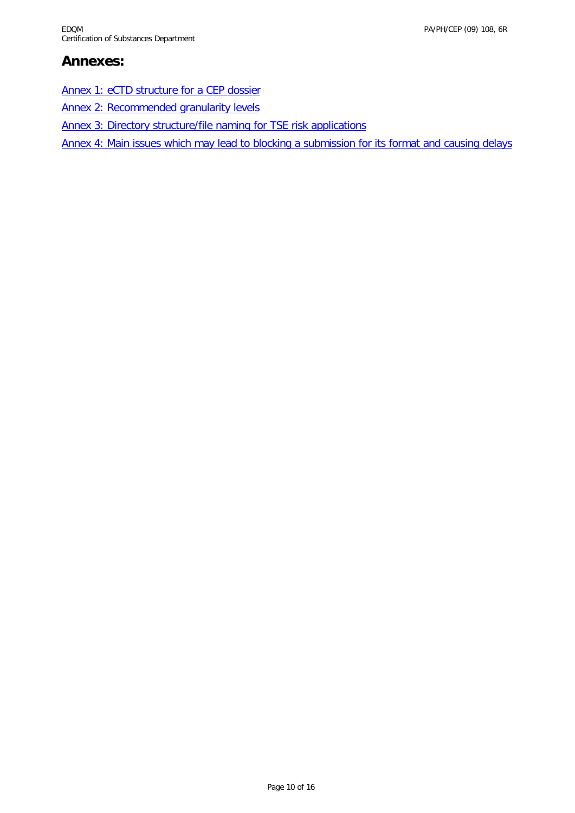## <span id="page-9-0"></span>**Annexes:**

[Annex 1: eCTD structure for a CEP dossier](#page-10-0)

[Annex 2: Recommended granularity levels](#page-11-2)

[Annex 3: Directory structure/file naming for TSE risk applications](#page-12-1)

[Annex 4: Main issues which may lead to blocking a submission](#page-15-2) for its format and causing [delays](#page-15-1)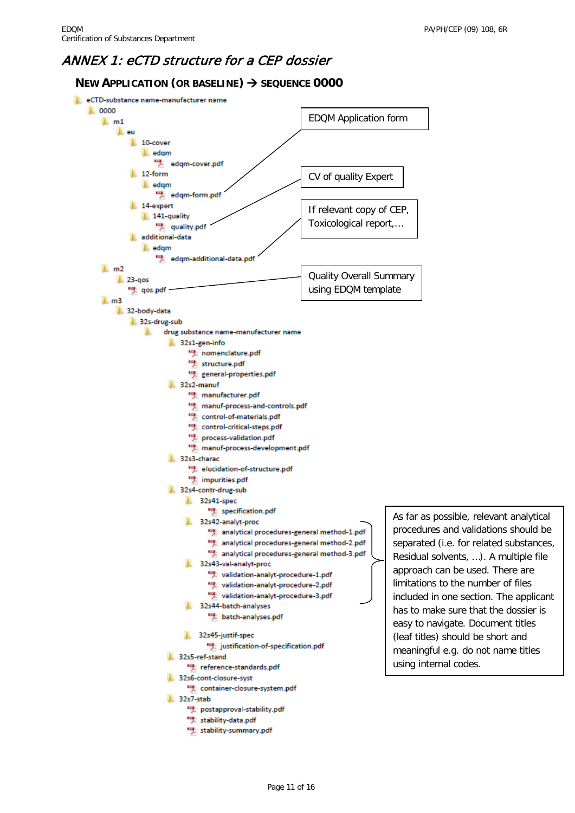### <span id="page-10-0"></span>ANNEX 1: eCTD structure for a CEP dossier

#### <span id="page-10-1"></span>**NEW APPLICATION (OR BASELINE) SEQUENCE 0000**

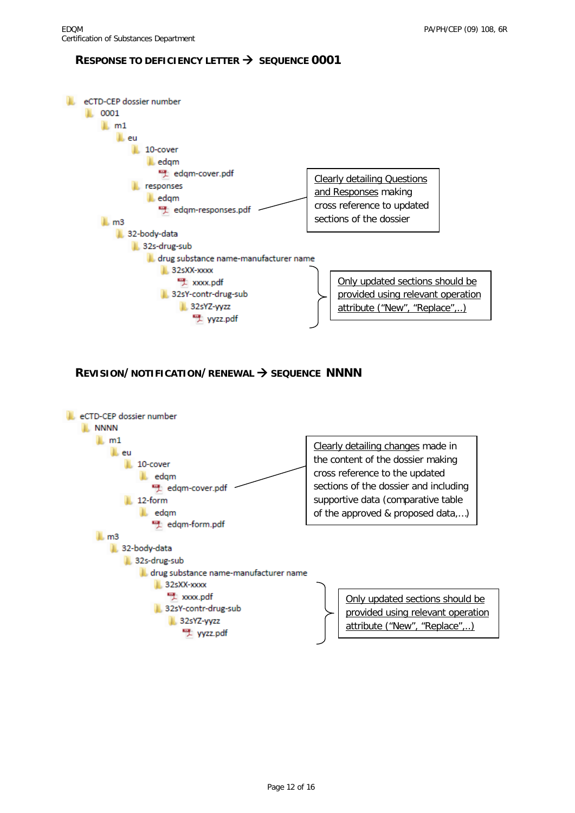#### <span id="page-11-0"></span>**RESPONSE TO DEFICIENCY LETTER**  $\rightarrow$  **SEQUENCE 0001**



#### <span id="page-11-1"></span>**REVISION/NOTIFICATION/RENEWAL > SEQUENCE NNNN**

<span id="page-11-2"></span>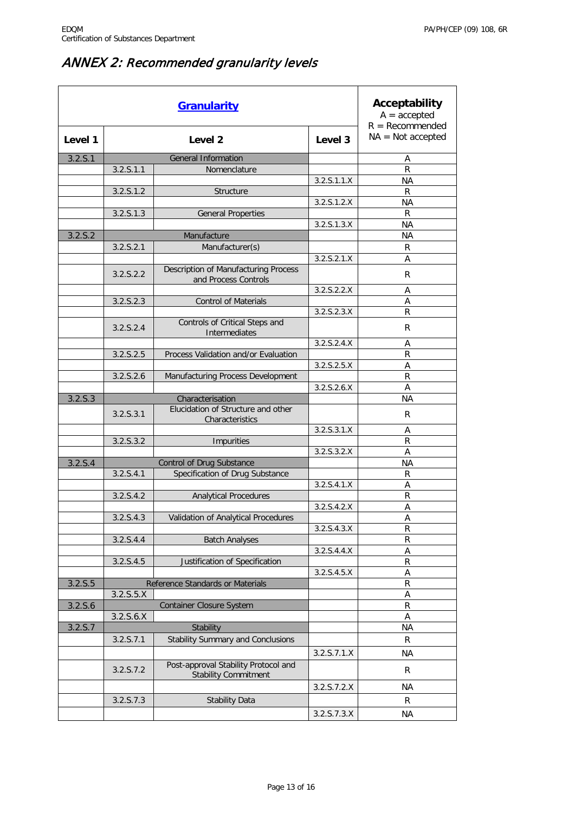# <span id="page-12-0"></span>ANNEX 2: Recommended granularity levels

<span id="page-12-1"></span>

| <b>Granularity</b> |                                  |                                                                           |                    | Acceptability<br>$A = accepted$<br>$R = Recommended$ |
|--------------------|----------------------------------|---------------------------------------------------------------------------|--------------------|------------------------------------------------------|
| Level 1            | Level <sub>2</sub>               |                                                                           | Level <sub>3</sub> | $NA = Not accepted$                                  |
| 3.2.5.1            |                                  | <b>General Information</b>                                                |                    | Α                                                    |
|                    | 3.2.5.1.1                        | Nomenclature                                                              |                    | $\mathsf R$                                          |
|                    |                                  |                                                                           | 3.2.5.1.1.X        | <b>NA</b>                                            |
|                    | 3.2.S.1.2                        | Structure                                                                 |                    | R                                                    |
|                    |                                  |                                                                           | 3.2.5.1.2.X        | ΝA                                                   |
|                    | 3.2.5.1.3                        | <b>General Properties</b>                                                 |                    | R                                                    |
|                    |                                  |                                                                           | 3.2.5.1.3.X        | <b>NA</b>                                            |
| 3.2.5.2            |                                  | Manufacture                                                               |                    | <b>NA</b>                                            |
|                    | 3.2.5.2.1                        | Manufacturer(s)                                                           |                    | R                                                    |
|                    |                                  |                                                                           | 3.2.5.2.1.X        | A                                                    |
|                    | 3.2.5.2.2                        | Description of Manufacturing Process<br>and Process Controls              |                    | R                                                    |
|                    |                                  |                                                                           | 3.2.5.2.2.X        | Α                                                    |
|                    | 3.2.5.2.3                        | <b>Control of Materials</b>                                               |                    | A                                                    |
|                    |                                  |                                                                           | 3.2.5.2.3.X        | $\mathsf{R}$                                         |
|                    | 3.2.5.2.4                        | Controls of Critical Steps and<br>Intermediates                           |                    | R                                                    |
|                    |                                  |                                                                           | 3.2.5.2.4.X        | А                                                    |
|                    | 3.2.5.2.5                        | Process Validation and/or Evaluation                                      |                    | R                                                    |
|                    |                                  |                                                                           | 3.2.5.2.5.X        | Α                                                    |
|                    | 3.2.5.2.6                        | Manufacturing Process Development                                         |                    | $\mathsf R$                                          |
|                    |                                  |                                                                           | 3.2.5.2.6.X        | A                                                    |
| 3.2.5.3            | 3.2.5.3.1                        | Characterisation<br>Elucidation of Structure and other<br>Characteristics |                    | NА<br>R                                              |
|                    |                                  |                                                                           | 3.2.5.3.1.X        | Α                                                    |
|                    | 3.2.5.3.2                        | <b>Impurities</b>                                                         |                    | $\mathsf{R}$                                         |
|                    |                                  |                                                                           | 3.2.5.3.2.X        | A                                                    |
| 3.2.5.4            | <b>Control of Drug Substance</b> |                                                                           |                    | ΝA                                                   |
|                    | 3.2.5.4.1                        | Specification of Drug Substance                                           |                    | R                                                    |
|                    |                                  |                                                                           | 3.2. S. 4.1.X      | A                                                    |
|                    | 3.2.5.4.2                        | <b>Analytical Procedures</b>                                              |                    | R                                                    |
|                    |                                  |                                                                           | 3.2.5.4.2.X        | Α                                                    |
|                    | 3.2.S.4.3                        | Validation of Analytical Procedures                                       |                    | Α                                                    |
|                    |                                  |                                                                           | 3.2.5.4.3.X        | R                                                    |
|                    | 3.2.5.4.4                        | <b>Batch Analyses</b>                                                     |                    | R                                                    |
|                    |                                  |                                                                           | 3.2. S. 4.4. X     | Α                                                    |
|                    | 3.2. S. 4.5                      | Justification of Specification                                            |                    | ${\sf R}$                                            |
|                    |                                  |                                                                           | 3.2.5.4.5.X        | Α                                                    |
| 3.2.5.5            |                                  | Reference Standards or Materials                                          |                    | R                                                    |
|                    | 3.2.5.5. X                       | <b>Container Closure System</b>                                           |                    | Α                                                    |
| 3.2.5.6            | 3.2.5.6.X                        |                                                                           |                    | R                                                    |
| 3.2. S.7           |                                  | Stability                                                                 |                    | Α<br>ΝA                                              |
|                    | 3.2.5.7.1                        | <b>Stability Summary and Conclusions</b>                                  |                    | R                                                    |
|                    |                                  |                                                                           |                    |                                                      |
|                    |                                  |                                                                           | 3.2.5.7.1.X        | <b>NA</b>                                            |
|                    | 3.2.5.7.2                        | Post-approval Stability Protocol and<br><b>Stability Commitment</b>       |                    | R                                                    |
|                    |                                  |                                                                           | 3.2.5.7.2.X        | <b>NA</b>                                            |
|                    | 3.2.S.7.3                        | <b>Stability Data</b>                                                     |                    | R                                                    |
|                    |                                  |                                                                           | 3.2.5.7.3.X        | NA                                                   |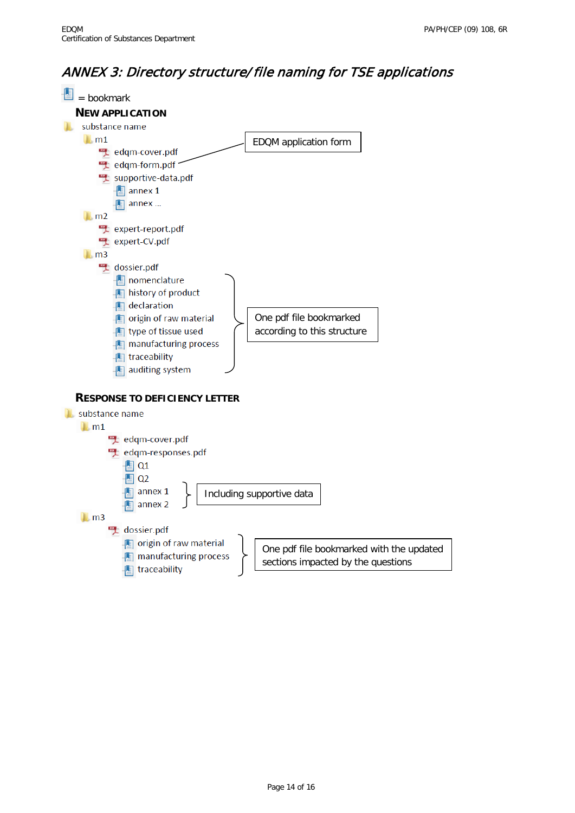## <span id="page-13-0"></span>ANNEX 3: Directory structure/ file naming for TSE applications

<span id="page-13-2"></span><span id="page-13-1"></span>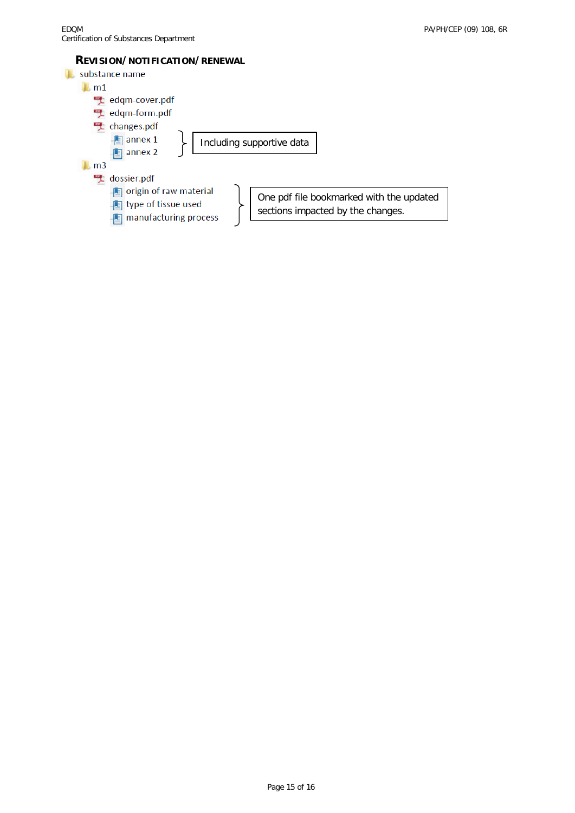#### **REVISION/NOTIFICATION/RENEWAL**

<span id="page-14-0"></span>